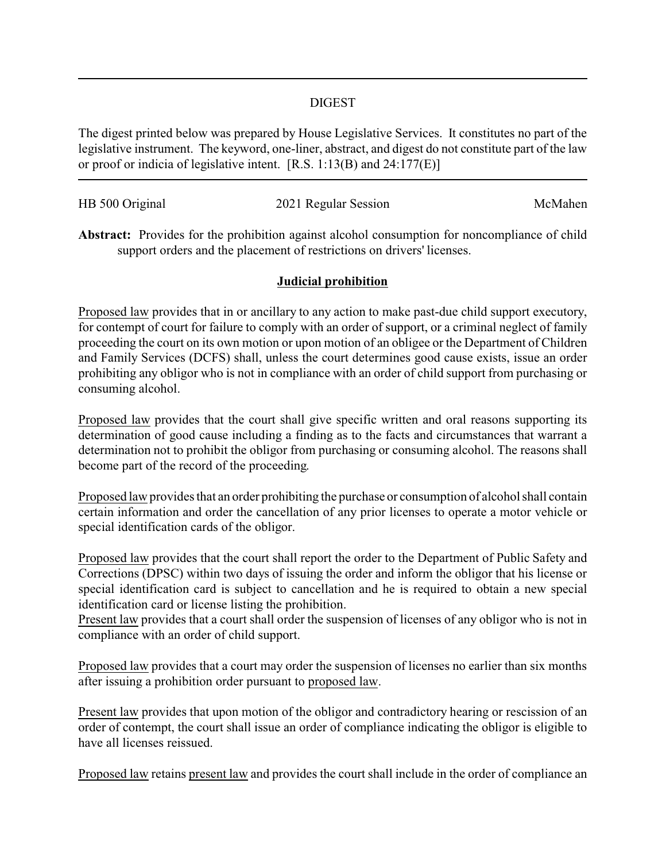### DIGEST

The digest printed below was prepared by House Legislative Services. It constitutes no part of the legislative instrument. The keyword, one-liner, abstract, and digest do not constitute part of the law or proof or indicia of legislative intent. [R.S. 1:13(B) and 24:177(E)]

| HB 500 Original | 2021 Regular Session | McMahen |
|-----------------|----------------------|---------|
|                 |                      |         |

**Abstract:** Provides for the prohibition against alcohol consumption for noncompliance of child support orders and the placement of restrictions on drivers' licenses.

## **Judicial prohibition**

Proposed law provides that in or ancillary to any action to make past-due child support executory, for contempt of court for failure to comply with an order of support, or a criminal neglect of family proceeding the court on its own motion or upon motion of an obligee or the Department of Children and Family Services (DCFS) shall, unless the court determines good cause exists, issue an order prohibiting any obligor who is not in compliance with an order of child support from purchasing or consuming alcohol.

Proposed law provides that the court shall give specific written and oral reasons supporting its determination of good cause including a finding as to the facts and circumstances that warrant a determination not to prohibit the obligor from purchasing or consuming alcohol. The reasons shall become part of the record of the proceeding.

Proposed law provides that an order prohibiting the purchase or consumption of alcohol shall contain certain information and order the cancellation of any prior licenses to operate a motor vehicle or special identification cards of the obligor.

Proposed law provides that the court shall report the order to the Department of Public Safety and Corrections (DPSC) within two days of issuing the order and inform the obligor that his license or special identification card is subject to cancellation and he is required to obtain a new special identification card or license listing the prohibition.

Present law provides that a court shall order the suspension of licenses of any obligor who is not in compliance with an order of child support.

Proposed law provides that a court may order the suspension of licenses no earlier than six months after issuing a prohibition order pursuant to proposed law.

Present law provides that upon motion of the obligor and contradictory hearing or rescission of an order of contempt, the court shall issue an order of compliance indicating the obligor is eligible to have all licenses reissued.

Proposed law retains present law and provides the court shall include in the order of compliance an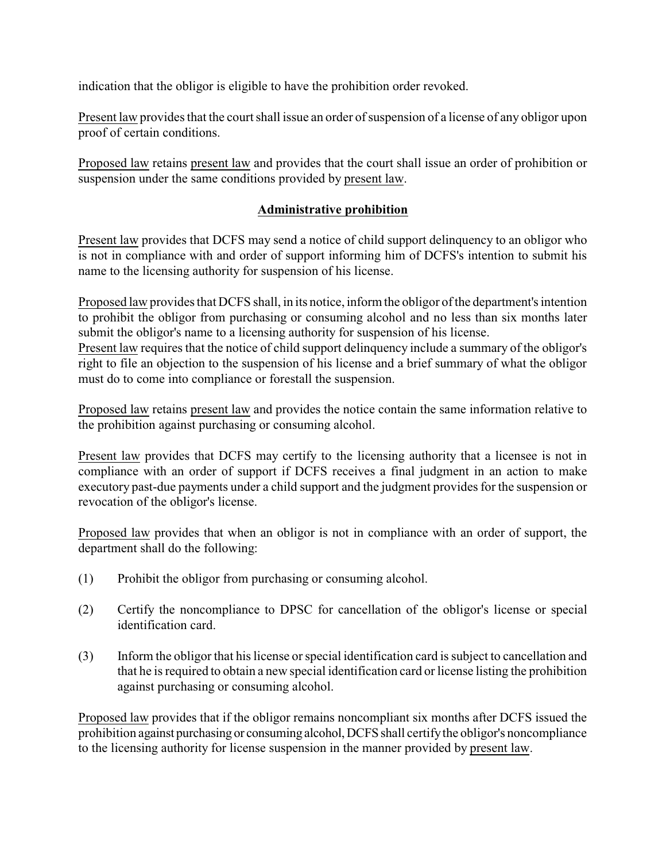indication that the obligor is eligible to have the prohibition order revoked.

Present law provides that the court shall issue an order of suspension of a license of any obligor upon proof of certain conditions.

Proposed law retains present law and provides that the court shall issue an order of prohibition or suspension under the same conditions provided by present law.

# **Administrative prohibition**

Present law provides that DCFS may send a notice of child support delinquency to an obligor who is not in compliance with and order of support informing him of DCFS's intention to submit his name to the licensing authority for suspension of his license.

Proposed law provides that DCFS shall, in its notice, inform the obligor of the department's intention to prohibit the obligor from purchasing or consuming alcohol and no less than six months later submit the obligor's name to a licensing authority for suspension of his license.

Present law requires that the notice of child support delinquency include a summary of the obligor's right to file an objection to the suspension of his license and a brief summary of what the obligor must do to come into compliance or forestall the suspension.

Proposed law retains present law and provides the notice contain the same information relative to the prohibition against purchasing or consuming alcohol.

Present law provides that DCFS may certify to the licensing authority that a licensee is not in compliance with an order of support if DCFS receives a final judgment in an action to make executory past-due payments under a child support and the judgment provides for the suspension or revocation of the obligor's license.

Proposed law provides that when an obligor is not in compliance with an order of support, the department shall do the following:

- (1) Prohibit the obligor from purchasing or consuming alcohol.
- (2) Certify the noncompliance to DPSC for cancellation of the obligor's license or special identification card.
- (3) Inform the obligor that his license or special identification card is subject to cancellation and that he is required to obtain a new special identification card or license listing the prohibition against purchasing or consuming alcohol.

Proposed law provides that if the obligor remains noncompliant six months after DCFS issued the prohibition against purchasing or consuming alcohol, DCFS shall certify the obligor's noncompliance to the licensing authority for license suspension in the manner provided by present law.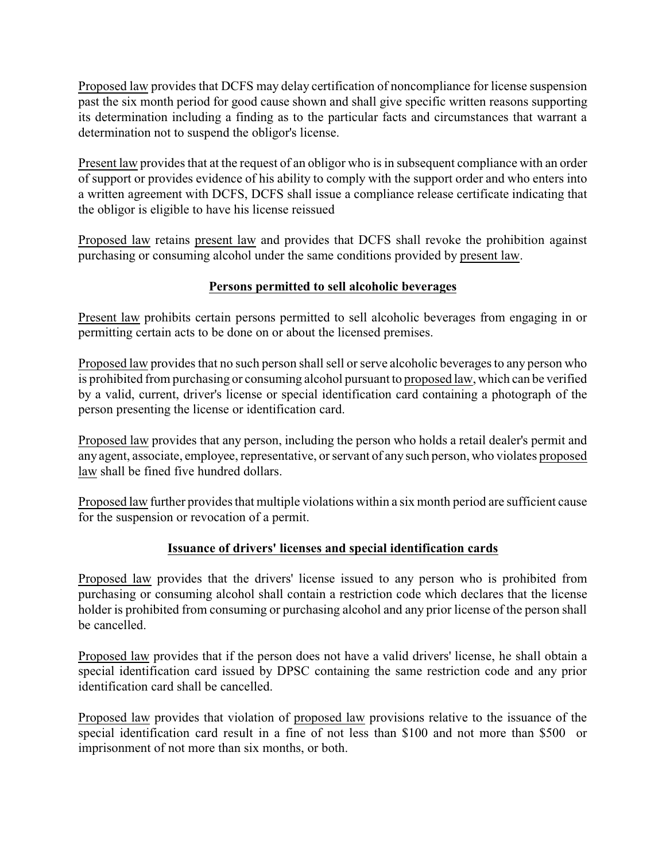Proposed law provides that DCFS may delay certification of noncompliance for license suspension past the six month period for good cause shown and shall give specific written reasons supporting its determination including a finding as to the particular facts and circumstances that warrant a determination not to suspend the obligor's license.

Present law provides that at the request of an obligor who is in subsequent compliance with an order of support or provides evidence of his ability to comply with the support order and who enters into a written agreement with DCFS, DCFS shall issue a compliance release certificate indicating that the obligor is eligible to have his license reissued

Proposed law retains present law and provides that DCFS shall revoke the prohibition against purchasing or consuming alcohol under the same conditions provided by present law.

# **Persons permitted to sell alcoholic beverages**

Present law prohibits certain persons permitted to sell alcoholic beverages from engaging in or permitting certain acts to be done on or about the licensed premises.

Proposed law provides that no such person shall sell or serve alcoholic beverages to any person who is prohibited from purchasing or consuming alcohol pursuant to proposed law, which can be verified by a valid, current, driver's license or special identification card containing a photograph of the person presenting the license or identification card.

Proposed law provides that any person, including the person who holds a retail dealer's permit and any agent, associate, employee, representative, or servant of any such person, who violates proposed law shall be fined five hundred dollars.

Proposed law further provides that multiple violations within a six month period are sufficient cause for the suspension or revocation of a permit.

## **Issuance of drivers' licenses and special identification cards**

Proposed law provides that the drivers' license issued to any person who is prohibited from purchasing or consuming alcohol shall contain a restriction code which declares that the license holder is prohibited from consuming or purchasing alcohol and any prior license of the person shall be cancelled.

Proposed law provides that if the person does not have a valid drivers' license, he shall obtain a special identification card issued by DPSC containing the same restriction code and any prior identification card shall be cancelled.

Proposed law provides that violation of proposed law provisions relative to the issuance of the special identification card result in a fine of not less than \$100 and not more than \$500 or imprisonment of not more than six months, or both.